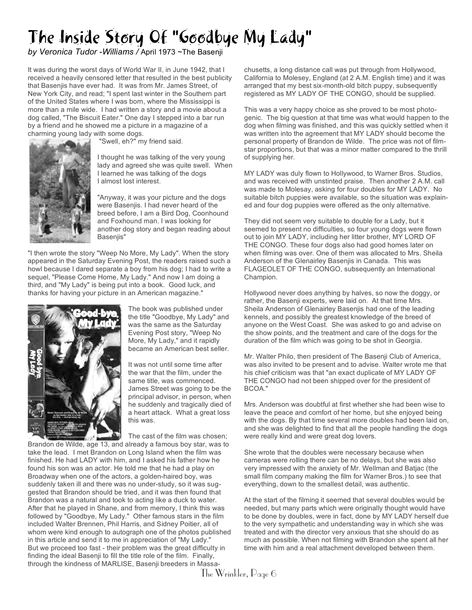## The Inside Story Of "Goodbye My Lady"

*by Veronica Tudor -Williams /* April 1973 ~The Basenji

It was during the worst days of World War II, in June 1942, that I received a heavily censored letter that resulted in the best publicity that Basenjis have ever had. It was from Mr. James Street, of New York City, and read; "I spent last winter in the Southern part of the United States where I was born, where the Mississippi is more than a mile wide. I had written a story and a movie about a dog called, "The Biscuit Eater." One day I stepped into a bar run by a friend and he showed me a picture in a magazine of a charming young lady with some dogs.



"Swell, eh?" my friend said.

I thought he was talking of the very young lady and agreed she was quite swell. When I learned he was talking of the dogs I almost lost interest.

"Anyway, it was your picture and the dogs were Basenjis. I had never heard of the breed before, I am a Bird Dog, Coonhound and Foxhound man. I was looking for another dog story and began reading about Basenjis"

"I then wrote the story "Weep No More, My Lady". When the story appeared in the Saturday Evening Post, the readers raised such a howl because I dared separate a boy from his dog; I had to write a sequel, "Please Come Home, My Lady." And now I am doing a third, and "My Lady" is being put into a book. Good luck, and thanks for having your picture in an American magazine."



The book was published under the title "Goodbye, My Lady" and was the same as the Saturday Evening Post story, "Weep No More, My Lady," and it rapidly became an American best seller.

It was not until some time after the war that the film, under the same title, was commenced. James Street was going to be the principal advisor, in person, when he suddenly and tragically died of a heart attack. What a great loss this was.

The cast of the film was chosen; Brandon de Wilde, age 13, and already a famous boy star, was to take the lead. I met Brandon on Long Island when the film was finished. He had LADY with him, and I asked his father how he found his son was an actor. He told me that he had a play on Broadway when one of the actors, a golden-haired boy, was suddenly taken ill and there was no under-study, so it was suggested that Brandon should be tried, and it was then found that Brandon was a natural and took to acting like a duck to water. After that he played in Shane, and from memory, I think this was followed by "Goodbye, My Lady." Other famous stars in the film included Walter Brennen, Phil Harris, and Sidney Poitier, all of whom were kind enough to autograph one of the photos published in this article and send it to me in appreciation of "My Lady." But we proceed too fast - their problem was the great difficulty in finding the ideal Basenji to fill the title role of the film. Finally, through the kindness of MARLISE, Basenji breeders in Massachusetts, a long distance call was put through from Hollywood, California to Molesey, England (at 2 A.M. English time) and it was arranged that my best six-month-old bitch puppy, subsequently registered as MY LADY OF THE CONGO, should be supplied.

This was a very happy choice as she proved to be most photogenic. The big question at that time was what would happen to the dog when filming was finished, and this was quickly settled when it was written into the agreement that MY LADY should become the personal property of Brandon de Wilde. The price was not of filmstar proportions, but that was a minor matter compared to the thrill of supplying her.

MY LADY was duly flown to Hollywood, to Warner Bros. Studios, and was received with unstinted praise. Then another 2 A.M. call was made to Molesay, asking for four doubles for MY LADY. No suitable bitch puppies were available, so the situation was explained and four dog puppies were offered as the only alternative.

They did not seem very suitable to double for a Lady, but it seemed to present no difficulties, so four young dogs were flown out to join MY LADY, including her litter brother, MY LORD OF THE CONGO. These four dogs also had good homes later on when filming was over. One of them was allocated to Mrs. Sheila Anderson of the Glenairley Basenjis in Canada. This was FLAGEOLET OF THE CONGO, subsequently an International Champion.

Hollywood never does anything by halves, so now the doggy, or rather, the Basenji experts, were laid on. At that time Mrs. Sheila Anderson of Glenairley Basenjis had one of the leading kennels, and possibly the greatest knowledge of the breed of anyone on the West Coast. She was asked to go and advise on the show points, and the treatment and care of the dogs for the duration of the film which was going to be shot in Georgia.

Mr. Walter Philo, then president of The Basenji Club of America, was also invited to be present and to advise. Walter wrote me that his chief criticism was that "an exact duplicate of MY LADY OF THE CONGO had not been shipped over for the president of BCOA."

Mrs. Anderson was doubtful at first whether she had been wise to leave the peace and comfort of her home, but she enjoyed being with the dogs. By that time several more doubles had been laid on, and she was delighted to find that all the people handling the dogs were really kind and were great dog lovers.

She wrote that the doubles were necessary because when cameras were rolling there can be no delays, but she was also very impressed with the anxiety of Mr. Wellman and Batjac (the small film company making the film for Warner Bros.) to see that everything, down to the smallest detail, was authentic.

At the start of the filming it seemed that several doubles would be needed, but many parts which were originally thought would have to be done by doubles, were in fact, done by MY LADY herself due to the very sympathetic and understanding way in which she was treated and with the director very anxious that she should do as much as possible. When not filming with Brandon she spent all her time with him and a real attachment developed between them.